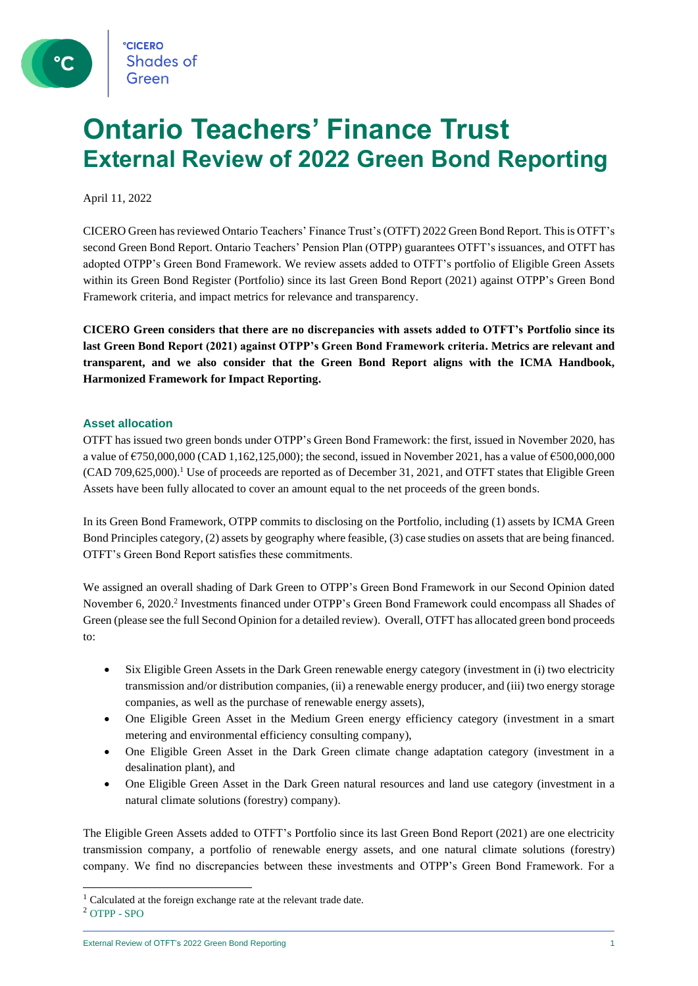### **Ontario Teachers' Finance Trust External Review of 2022 Green Bond Reporting**

April 11, 2022

CICERO Green has reviewed Ontario Teachers' Finance Trust's (OTFT) 2022 Green Bond Report. This is OTFT's second Green Bond Report. Ontario Teachers' Pension Plan (OTPP) guarantees OTFT's issuances, and OTFT has adopted OTPP's Green Bond Framework. We review assets added to OTFT's portfolio of Eligible Green Assets within its Green Bond Register (Portfolio) since its last Green Bond Report (2021) against OTPP's Green Bond Framework criteria, and impact metrics for relevance and transparency.

**CICERO Green considers that there are no discrepancies with assets added to OTFT's Portfolio since its last Green Bond Report (2021) against OTPP's Green Bond Framework criteria. Metrics are relevant and transparent, and we also consider that the Green Bond Report aligns with the ICMA Handbook, Harmonized Framework for Impact Reporting.**

#### **Asset allocation**

OTFT has issued two green bonds under OTPP's Green Bond Framework: the first, issued in November 2020, has a value of  $\epsilon$ 750,000,000 (CAD 1,162,125,000); the second, issued in November 2021, has a value of  $\epsilon$ 500,000,000 (CAD 709,625,000). <sup>1</sup> Use of proceeds are reported as of December 31, 2021, and OTFT states that Eligible Green Assets have been fully allocated to cover an amount equal to the net proceeds of the green bonds.

In its Green Bond Framework, OTPP commits to disclosing on the Portfolio, including (1) assets by ICMA Green Bond Principles category, (2) assets by geography where feasible, (3) case studies on assets that are being financed. OTFT's Green Bond Report satisfies these commitments.

We assigned an overall shading of Dark Green to OTPP's Green Bond Framework in our Second Opinion dated November 6, 2020.<sup>2</sup> Investments financed under OTPP's Green Bond Framework could encompass all Shades of Green (please see the full Second Opinion for a detailed review). Overall, OTFT has allocated green bond proceeds to:

- Six Eligible Green Assets in the Dark Green renewable energy category (investment in (i) two electricity transmission and/or distribution companies, (ii) a renewable energy producer, and (iii) two energy storage companies, as well as the purchase of renewable energy assets),
- One Eligible Green Asset in the Medium Green energy efficiency category (investment in a smart metering and environmental efficiency consulting company),
- One Eligible Green Asset in the Dark Green climate change adaptation category (investment in a desalination plant), and
- One Eligible Green Asset in the Dark Green natural resources and land use category (investment in a natural climate solutions (forestry) company).

The Eligible Green Assets added to OTFT's Portfolio since its last Green Bond Report (2021) are one electricity transmission company, a portfolio of renewable energy assets, and one natural climate solutions (forestry) company. We find no discrepancies between these investments and OTPP's Green Bond Framework. For a

<sup>&</sup>lt;sup>1</sup> Calculated at the foreign exchange rate at the relevant trade date.

<sup>2</sup> [OTPP -](https://pub.cicero.oslo.no/cicero-xmlui/bitstream/handle/11250/2720329/OTPP2020.pdf) SPO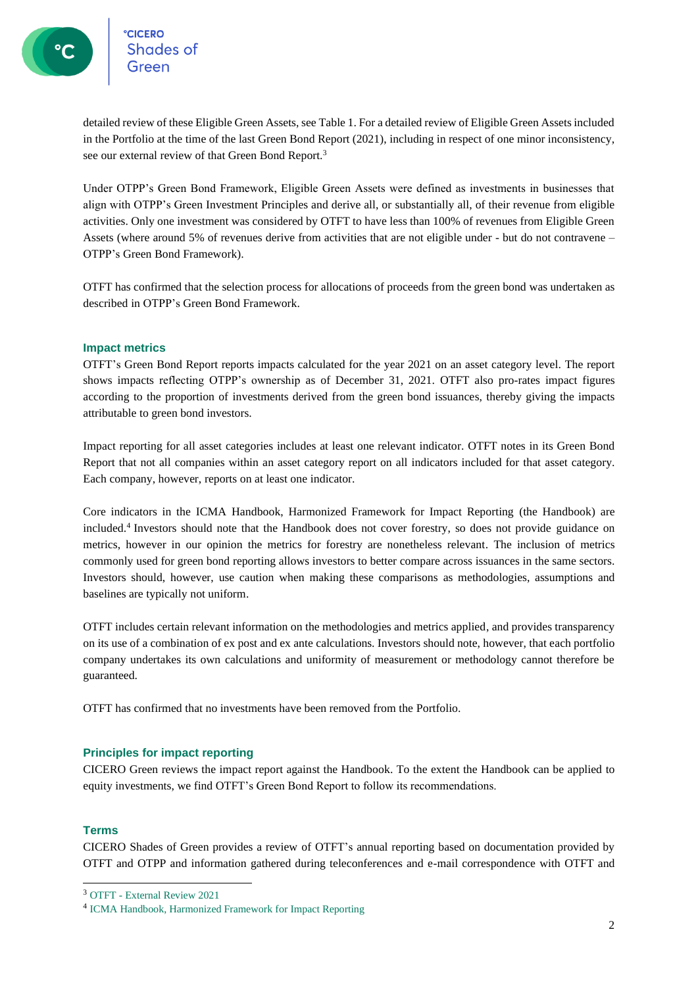detailed review of these Eligible Green Assets, see Table 1. For a detailed review of Eligible Green Assets included in the Portfolio at the time of the last Green Bond Report (2021), including in respect of one minor inconsistency, see our external review of that Green Bond Report.<sup>3</sup>

Under OTPP's Green Bond Framework, Eligible Green Assets were defined as investments in businesses that align with OTPP's Green Investment Principles and derive all, or substantially all, of their revenue from eligible activities. Only one investment was considered by OTFT to have less than 100% of revenues from Eligible Green Assets (where around 5% of revenues derive from activities that are not eligible under - but do not contravene – OTPP's Green Bond Framework).

OTFT has confirmed that the selection process for allocations of proceeds from the green bond was undertaken as described in OTPP's Green Bond Framework.

#### **Impact metrics**

OTFT's Green Bond Report reports impacts calculated for the year 2021 on an asset category level. The report shows impacts reflecting OTPP's ownership as of December 31, 2021. OTFT also pro-rates impact figures according to the proportion of investments derived from the green bond issuances, thereby giving the impacts attributable to green bond investors.

Impact reporting for all asset categories includes at least one relevant indicator. OTFT notes in its Green Bond Report that not all companies within an asset category report on all indicators included for that asset category. Each company, however, reports on at least one indicator.

Core indicators in the ICMA Handbook, Harmonized Framework for Impact Reporting (the Handbook) are included. 4 Investors should note that the Handbook does not cover forestry, so does not provide guidance on metrics, however in our opinion the metrics for forestry are nonetheless relevant. The inclusion of metrics commonly used for green bond reporting allows investors to better compare across issuances in the same sectors. Investors should, however, use caution when making these comparisons as methodologies, assumptions and baselines are typically not uniform.

OTFT includes certain relevant information on the methodologies and metrics applied, and provides transparency on its use of a combination of ex post and ex ante calculations. Investors should note, however, that each portfolio company undertakes its own calculations and uniformity of measurement or methodology cannot therefore be guaranteed.

OTFT has confirmed that no investments have been removed from the Portfolio.

#### **Principles for impact reporting**

CICERO Green reviews the impact report against the Handbook. To the extent the Handbook can be applied to equity investments, we find OTFT's Green Bond Report to follow its recommendations.

#### **Terms**

CICERO Shades of Green provides a review of OTFT's annual reporting based on documentation provided by OTFT and OTPP and information gathered during teleconferences and e-mail correspondence with OTFT and

<sup>3</sup> OTFT - [External Review 2021](https://cicerogreen.sharepoint.com/sites/all/Delte%20dokumenter/General/Impact%20Reporting/OTPP/2022%20Review/OTFT%20-%20External%20Review%202021)

<sup>4</sup> [ICMA Handbook, Harmonized Framework for Impact Reporting](https://cicerogreen.sharepoint.com/sites/all/Delte%20dokumenter/General/Impact%20Reporting/OTPP/2022%20Review/ICMA%20Handbook,%20Harmonized%20Framework%20for%20Impact%20Reporting)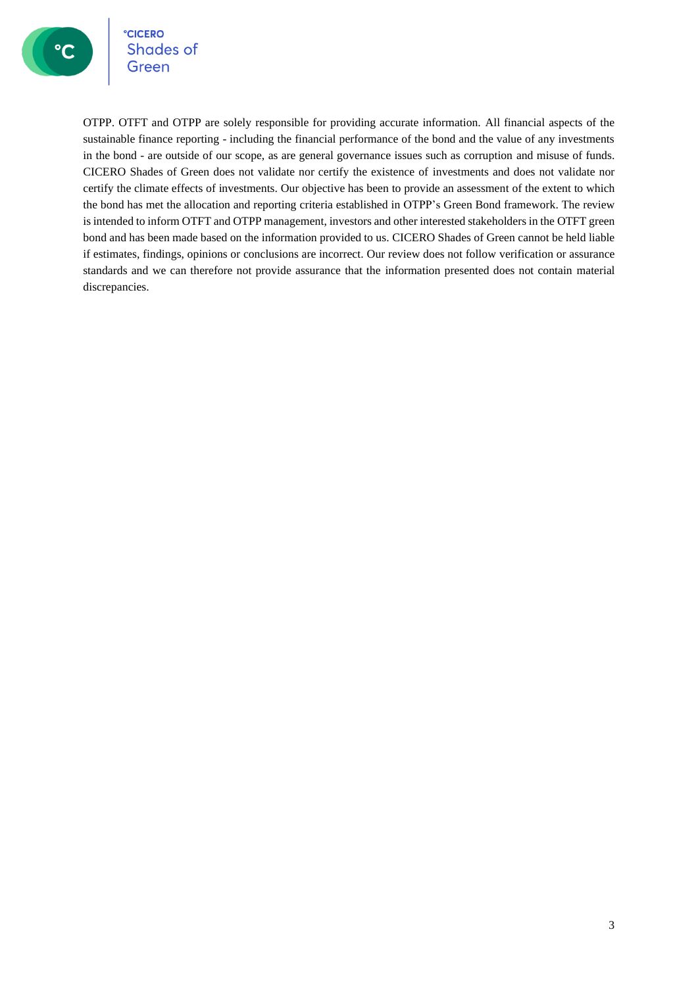

**°CICERO** Shades of Green

OTPP. OTFT and OTPP are solely responsible for providing accurate information. All financial aspects of the sustainable finance reporting - including the financial performance of the bond and the value of any investments in the bond - are outside of our scope, as are general governance issues such as corruption and misuse of funds. CICERO Shades of Green does not validate nor certify the existence of investments and does not validate nor certify the climate effects of investments. Our objective has been to provide an assessment of the extent to which the bond has met the allocation and reporting criteria established in OTPP's Green Bond framework. The review is intended to inform OTFT and OTPP management, investors and other interested stakeholders in the OTFT green bond and has been made based on the information provided to us. CICERO Shades of Green cannot be held liable if estimates, findings, opinions or conclusions are incorrect. Our review does not follow verification or assurance standards and we can therefore not provide assurance that the information presented does not contain material discrepancies.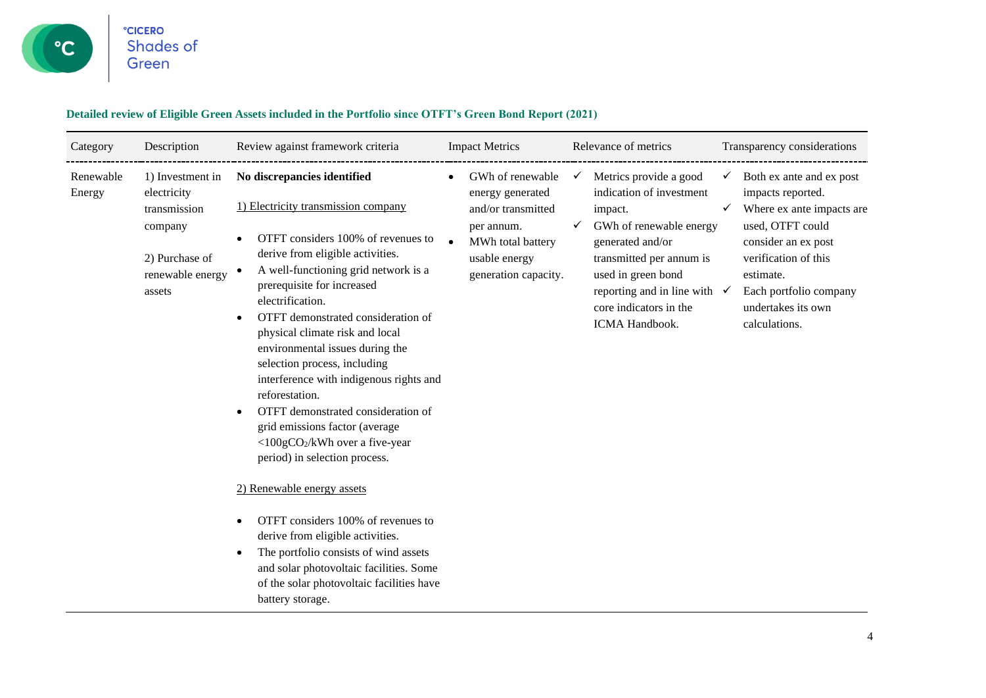

#### **Detailed review of Eligible Green Assets included in the Portfolio since OTFT's Green Bond Report (2021)**

| Category            | Description                                                                                                | Review against framework criteria                                                                                                                                                                                                                                                                                                                                                                                                                                                                                                                                                                   | <b>Impact Metrics</b>                                                                                                                               | Relevance of metrics                                                                                                                                                                                                                                                         | Transparency considerations                                                                                                                                                                                                      |
|---------------------|------------------------------------------------------------------------------------------------------------|-----------------------------------------------------------------------------------------------------------------------------------------------------------------------------------------------------------------------------------------------------------------------------------------------------------------------------------------------------------------------------------------------------------------------------------------------------------------------------------------------------------------------------------------------------------------------------------------------------|-----------------------------------------------------------------------------------------------------------------------------------------------------|------------------------------------------------------------------------------------------------------------------------------------------------------------------------------------------------------------------------------------------------------------------------------|----------------------------------------------------------------------------------------------------------------------------------------------------------------------------------------------------------------------------------|
| Renewable<br>Energy | 1) Investment in<br>electricity<br>transmission<br>company<br>2) Purchase of<br>renewable energy<br>assets | No discrepancies identified<br>1) Electricity transmission company<br>OTFT considers 100% of revenues to<br>derive from eligible activities.<br>A well-functioning grid network is a<br>prerequisite for increased<br>electrification.<br>OTFT demonstrated consideration of<br>physical climate risk and local<br>environmental issues during the<br>selection process, including<br>interference with indigenous rights and<br>reforestation.<br>OTFT demonstrated consideration of<br>grid emissions factor (average<br>$\langle 100gCO_2/kWh$ over a five-year<br>period) in selection process. | GWh of renewable<br>$\bullet$<br>energy generated<br>and/or transmitted<br>per annum.<br>MWh total battery<br>usable energy<br>generation capacity. | Metrics provide a good<br>$\checkmark$<br>indication of investment<br>impact.<br>GWh of renewable energy<br>generated and/or<br>transmitted per annum is<br>used in green bond<br>reporting and in line with $\checkmark$<br>core indicators in the<br><b>ICMA Handbook.</b> | Both ex ante and ex post<br>✓<br>impacts reported.<br>Where ex ante impacts are<br>used, OTFT could<br>consider an ex post<br>verification of this<br>estimate.<br>Each portfolio company<br>undertakes its own<br>calculations. |
|                     |                                                                                                            | 2) Renewable energy assets<br>OTFT considers 100% of revenues to<br>derive from eligible activities.<br>The portfolio consists of wind assets<br>and solar photovoltaic facilities. Some<br>of the solar photovoltaic facilities have<br>battery storage.                                                                                                                                                                                                                                                                                                                                           |                                                                                                                                                     |                                                                                                                                                                                                                                                                              |                                                                                                                                                                                                                                  |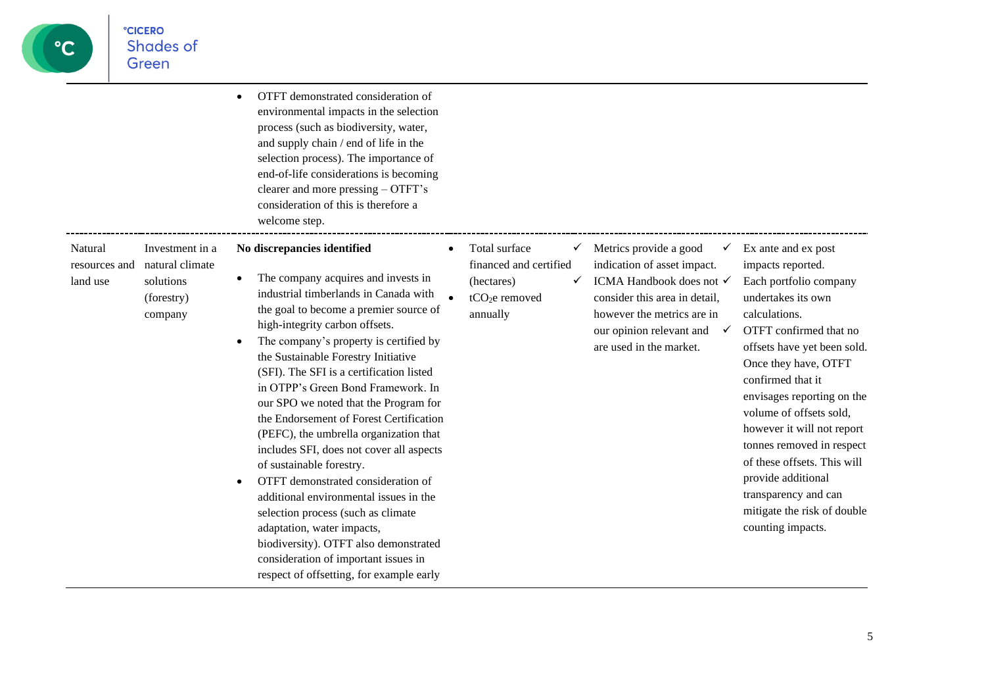# $\mathbf{C}$

|                                      |                                                                          | OTFT demonstrated consideration of<br>$\bullet$<br>environmental impacts in the selection<br>process (such as biodiversity, water,<br>and supply chain / end of life in the<br>selection process). The importance of<br>end-of-life considerations is becoming<br>clearer and more pressing – OTFT's<br>consideration of this is therefore a<br>welcome step.                                                                                                                                                                                                                                                                                                                                                                                                                                                                                                                            |                                                                                           |                                                                                                                                                                                                                              |                                                                                                                                                                                                                                                                                                                                                                                                                                                                      |
|--------------------------------------|--------------------------------------------------------------------------|------------------------------------------------------------------------------------------------------------------------------------------------------------------------------------------------------------------------------------------------------------------------------------------------------------------------------------------------------------------------------------------------------------------------------------------------------------------------------------------------------------------------------------------------------------------------------------------------------------------------------------------------------------------------------------------------------------------------------------------------------------------------------------------------------------------------------------------------------------------------------------------|-------------------------------------------------------------------------------------------|------------------------------------------------------------------------------------------------------------------------------------------------------------------------------------------------------------------------------|----------------------------------------------------------------------------------------------------------------------------------------------------------------------------------------------------------------------------------------------------------------------------------------------------------------------------------------------------------------------------------------------------------------------------------------------------------------------|
| Natural<br>resources and<br>land use | Investment in a<br>natural climate<br>solutions<br>(forestry)<br>company | No discrepancies identified<br>The company acquires and invests in<br>$\bullet$<br>industrial timberlands in Canada with<br>the goal to become a premier source of<br>high-integrity carbon offsets.<br>The company's property is certified by<br>$\bullet$<br>the Sustainable Forestry Initiative<br>(SFI). The SFI is a certification listed<br>in OTPP's Green Bond Framework. In<br>our SPO we noted that the Program for<br>the Endorsement of Forest Certification<br>(PEFC), the umbrella organization that<br>includes SFI, does not cover all aspects<br>of sustainable forestry.<br>OTFT demonstrated consideration of<br>$\bullet$<br>additional environmental issues in the<br>selection process (such as climate<br>adaptation, water impacts,<br>biodiversity). OTFT also demonstrated<br>consideration of important issues in<br>respect of offsetting, for example early | Total surface<br>✓<br>financed and certified<br>(hectares)<br>$tCO2e$ removed<br>annually | Metrics provide a good<br>✓<br>indication of asset impact.<br>ICMA Handbook does not √<br>consider this area in detail,<br>however the metrics are in<br>our opinion relevant and<br>$\checkmark$<br>are used in the market. | Ex ante and ex post<br>impacts reported.<br>Each portfolio company<br>undertakes its own<br>calculations.<br>OTFT confirmed that no<br>offsets have yet been sold.<br>Once they have, OTFT<br>confirmed that it<br>envisages reporting on the<br>volume of offsets sold,<br>however it will not report<br>tonnes removed in respect<br>of these offsets. This will<br>provide additional<br>transparency and can<br>mitigate the risk of double<br>counting impacts. |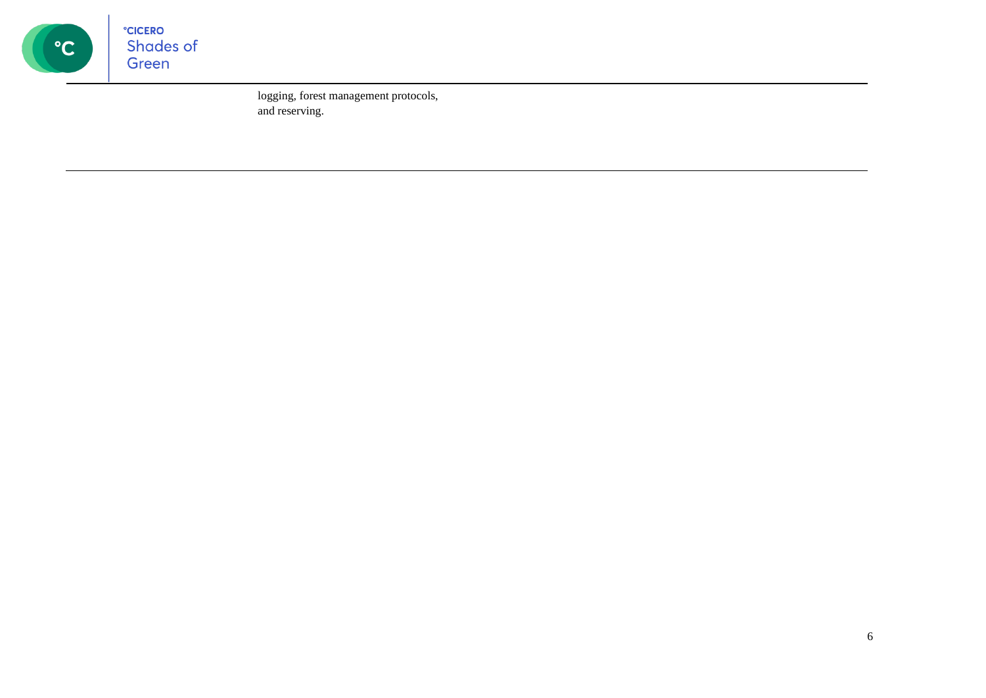

logging, forest management protocols, and reserving.